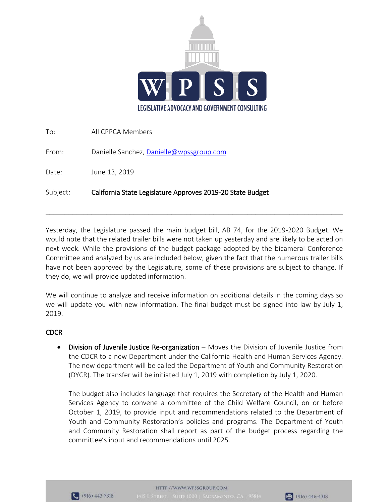

| Subject: | California State Legislature Approves 2019-20 State Budget |
|----------|------------------------------------------------------------|
| Date:    | June 13, 2019                                              |
| From:    | Danielle Sanchez, Danielle@wpssgroup.com                   |
| To:      | All CPPCA Members                                          |

Yesterday, the Legislature passed the main budget bill, AB 74, for the 2019-2020 Budget. We would note that the related trailer bills were not taken up yesterday and are likely to be acted on next week. While the provisions of the budget package adopted by the bicameral Conference Committee and analyzed by us are included below, given the fact that the numerous trailer bills have not been approved by the Legislature, some of these provisions are subject to change. If they do, we will provide updated information.

\_\_\_\_\_\_\_\_\_\_\_\_\_\_\_\_\_\_\_\_\_\_\_\_\_\_\_\_\_\_\_\_\_\_\_\_\_\_\_\_\_\_\_\_\_\_\_\_\_\_\_\_\_\_\_\_\_\_\_\_\_\_\_\_\_\_\_\_\_\_\_\_\_\_\_\_\_\_

We will continue to analyze and receive information on additional details in the coming days so we will update you with new information. The final budget must be signed into law by July 1, 2019.

## CDCR

• Division of Juvenile Justice Re-organization – Moves the Division of Juvenile Justice from the CDCR to a new Department under the California Health and Human Services Agency. The new department will be called the Department of Youth and Community Restoration (DYCR). The transfer will be initiated July 1, 2019 with completion by July 1, 2020.

The budget also includes language that requires the Secretary of the Health and Human Services Agency to convene a committee of the Child Welfare Council, on or before October 1, 2019, to provide input and recommendations related to the Department of Youth and Community Restoration's policies and programs. The Department of Youth and Community Restoration shall report as part of the budget process regarding the committee's input and recommendations until 2025.



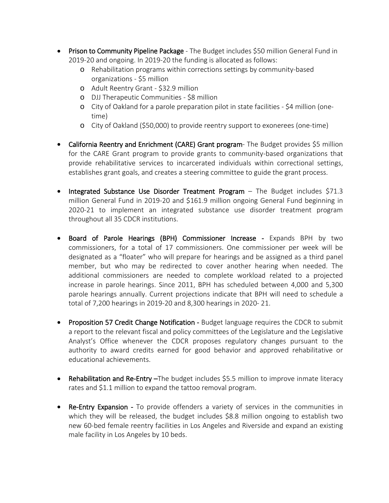- Prison to Community Pipeline Package The Budget includes \$50 million General Fund in 2019-20 and ongoing. In 2019-20 the funding is allocated as follows:
	- o Rehabilitation programs within corrections settings by community-based organizations - \$5 million
	- o Adult Reentry Grant \$32.9 million
	- o DJJ Therapeutic Communities \$8 million
	- o City of Oakland for a parole preparation pilot in state facilities \$4 million (onetime)
	- o City of Oakland (\$50,000) to provide reentry support to exonerees (one-time)
- California Reentry and Enrichment (CARE) Grant program-The Budget provides \$5 million for the CARE Grant program to provide grants to community-based organizations that provide rehabilitative services to incarcerated individuals within correctional settings, establishes grant goals, and creates a steering committee to guide the grant process.
- Integrated Substance Use Disorder Treatment Program The Budget includes \$71.3 million General Fund in 2019-20 and \$161.9 million ongoing General Fund beginning in 2020-21 to implement an integrated substance use disorder treatment program throughout all 35 CDCR institutions.
- Board of Parole Hearings (BPH) Commissioner Increase Expands BPH by two commissioners, for a total of 17 commissioners. One commissioner per week will be designated as a "floater" who will prepare for hearings and be assigned as a third panel member, but who may be redirected to cover another hearing when needed. The additional commissioners are needed to complete workload related to a projected increase in parole hearings. Since 2011, BPH has scheduled between 4,000 and 5,300 parole hearings annually. Current projections indicate that BPH will need to schedule a total of 7,200 hearings in 2019-20 and 8,300 hearings in 2020- 21.
- Proposition 57 Credit Change Notification Budget language requires the CDCR to submit a report to the relevant fiscal and policy committees of the Legislature and the Legislative Analyst's Office whenever the CDCR proposes regulatory changes pursuant to the authority to award credits earned for good behavior and approved rehabilitative or educational achievements.
- Rehabilitation and Re-Entry -The budget includes \$5.5 million to improve inmate literacy rates and \$1.1 million to expand the tattoo removal program.
- Re-Entry Expansion To provide offenders a variety of services in the communities in which they will be released, the budget includes \$8.8 million ongoing to establish two new 60-bed female reentry facilities in Los Angeles and Riverside and expand an existing male facility in Los Angeles by 10 beds.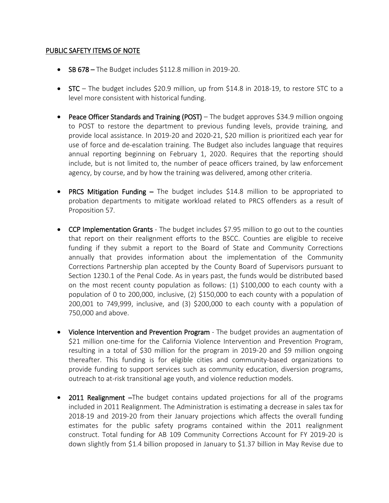## PUBLIC SAFETY ITEMS OF NOTE

- SB 678 The Budget includes \$112.8 million in 2019-20.
- STC The budget includes \$20.9 million, up from \$14.8 in 2018-19, to restore STC to a level more consistent with historical funding.
- Peace Officer Standards and Training (POST) The budget approves \$34.9 million ongoing to POST to restore the department to previous funding levels, provide training, and provide local assistance. In 2019-20 and 2020-21, \$20 million is prioritized each year for use of force and de-escalation training. The Budget also includes language that requires annual reporting beginning on February 1, 2020. Requires that the reporting should include, but is not limited to, the number of peace officers trained, by law enforcement agency, by course, and by how the training was delivered, among other criteria.
- PRCS Mitigation Funding The budget includes \$14.8 million to be appropriated to probation departments to mitigate workload related to PRCS offenders as a result of Proposition 57.
- CCP Implementation Grants The budget includes \$7.95 million to go out to the counties that report on their realignment efforts to the BSCC. Counties are eligible to receive funding if they submit a report to the Board of State and Community Corrections annually that provides information about the implementation of the Community Corrections Partnership plan accepted by the County Board of Supervisors pursuant to Section 1230.1 of the Penal Code. As in years past, the funds would be distributed based on the most recent county population as follows: (1) \$100,000 to each county with a population of 0 to 200,000, inclusive, (2) \$150,000 to each county with a population of 200,001 to 749,999, inclusive, and (3) \$200,000 to each county with a population of 750,000 and above.
- Violence Intervention and Prevention Program The budget provides an augmentation of \$21 million one-time for the California Violence Intervention and Prevention Program, resulting in a total of \$30 million for the program in 2019-20 and \$9 million ongoing thereafter. This funding is for eligible cities and community-based organizations to provide funding to support services such as community education, diversion programs, outreach to at-risk transitional age youth, and violence reduction models.
- 2011 Realignment -The budget contains updated projections for all of the programs included in 2011 Realignment. The Administration is estimating a decrease in sales tax for 2018-19 and 2019-20 from their January projections which affects the overall funding estimates for the public safety programs contained within the 2011 realignment construct. Total funding for AB 109 Community Corrections Account for FY 2019-20 is down slightly from \$1.4 billion proposed in January to \$1.37 billion in May Revise due to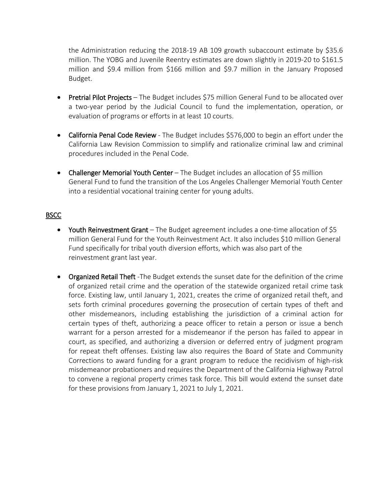the Administration reducing the 2018-19 AB 109 growth subaccount estimate by \$35.6 million. The YOBG and Juvenile Reentry estimates are down slightly in 2019-20 to \$161.5 million and \$9.4 million from \$166 million and \$9.7 million in the January Proposed Budget.

- Pretrial Pilot Projects The Budget includes \$75 million General Fund to be allocated over a two-year period by the Judicial Council to fund the implementation, operation, or evaluation of programs or efforts in at least 10 courts.
- California Penal Code Review The Budget includes \$576,000 to begin an effort under the California Law Revision Commission to simplify and rationalize criminal law and criminal procedures included in the Penal Code.
- Challenger Memorial Youth Center The Budget includes an allocation of \$5 million General Fund to fund the transition of the Los Angeles Challenger Memorial Youth Center into a residential vocational training center for young adults.

## **BSCC**

- Youth Reinvestment Grant The Budget agreement includes a one-time allocation of \$5 million General Fund for the Youth Reinvestment Act. It also includes \$10 million General Fund specifically for tribal youth diversion efforts, which was also part of the reinvestment grant last year.
- Organized Retail Theft -The Budget extends the sunset date for the definition of the crime of organized retail crime and the operation of the statewide organized retail crime task force. Existing law, until January 1, 2021, creates the crime of organized retail theft, and sets forth criminal procedures governing the prosecution of certain types of theft and other misdemeanors, including establishing the jurisdiction of a criminal action for certain types of theft, authorizing a peace officer to retain a person or issue a bench warrant for a person arrested for a misdemeanor if the person has failed to appear in court, as specified, and authorizing a diversion or deferred entry of judgment program for repeat theft offenses. Existing law also requires the Board of State and Community Corrections to award funding for a grant program to reduce the recidivism of high-risk misdemeanor probationers and requires the Department of the California Highway Patrol to convene a regional property crimes task force. This bill would extend the sunset date for these provisions from January 1, 2021 to July 1, 2021.